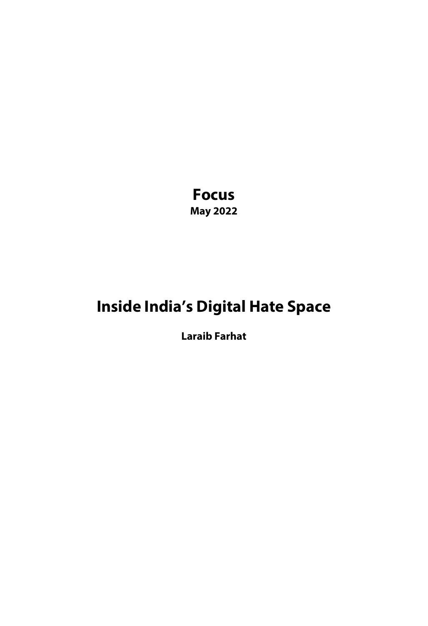**Focus May 2022**

# **Inside India's Digital Hate Space**

**Laraib Farhat**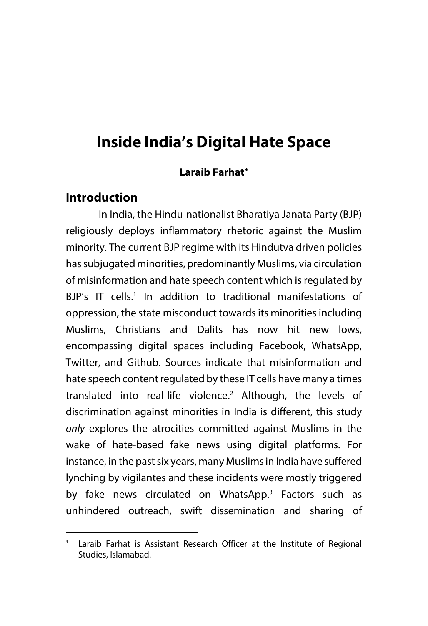# **Inside India's Digital Hate Space**

#### **Laraib Farhat**\*

### **Introduction**

In India, the Hindu-nationalist Bharatiya Janata Party (BJP) religiously deploys inflammatory rhetoric against the Muslim minority. The current BJP regime with its Hindutva driven policies has subjugated minorities, predominantly Muslims, via circulation of misinformation and hate speech content which is regulated by BJP's IT cells.<sup>1</sup> In addition to traditional manifestations of oppression, the state misconduct towards its minorities including Muslims, Christians and Dalits has now hit new lows, encompassing digital spaces including Facebook, WhatsApp, Twitter, and Github. Sources indicate that misinformation and hate speech content regulated by these IT cells have many a times translated into real-life violence.2 Although, the levels of discrimination against minorities in India is different, this study *only* explores the atrocities committed against Muslims in the wake of hate-based fake news using digital platforms. For instance, in the past six years, many Muslims in India have suffered lynching by vigilantes and these incidents were mostly triggered by fake news circulated on WhatsApp.<sup>3</sup> Factors such as unhindered outreach, swift dissemination and sharing of

<sup>\*</sup> Laraib Farhat is Assistant Research Officer at the Institute of Regional Studies, Islamabad.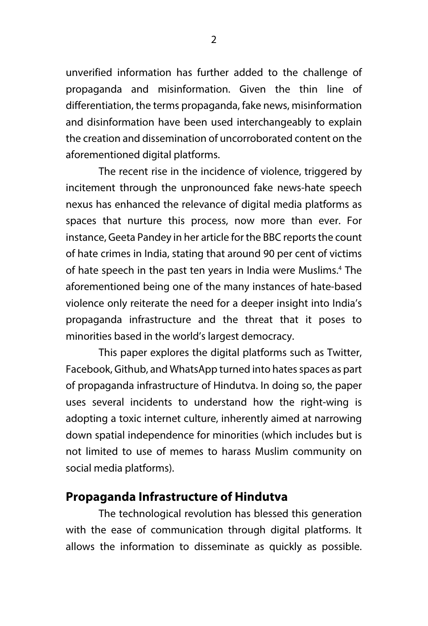unverified information has further added to the challenge of propaganda and misinformation. Given the thin line of differentiation, the terms propaganda, fake news, misinformation and disinformation have been used interchangeably to explain the creation and dissemination of uncorroborated content on the aforementioned digital platforms.

The recent rise in the incidence of violence, triggered by incitement through the unpronounced fake news-hate speech nexus has enhanced the relevance of digital media platforms as spaces that nurture this process, now more than ever. For instance, Geeta Pandey in her article for the BBC reports the count of hate crimes in India, stating that around 90 per cent of victims of hate speech in the past ten years in India were Muslims.<sup>4</sup> The aforementioned being one of the many instances of hate-based violence only reiterate the need for a deeper insight into India's propaganda infrastructure and the threat that it poses to minorities based in the world's largest democracy.

This paper explores the digital platforms such as Twitter, Facebook, Github, and WhatsApp turned into hates spaces as part of propaganda infrastructure of Hindutva. In doing so, the paper uses several incidents to understand how the right-wing is adopting a toxic internet culture, inherently aimed at narrowing down spatial independence for minorities (which includes but is not limited to use of memes to harass Muslim community on social media platforms).

#### **Propaganda Infrastructure of Hindutva**

The technological revolution has blessed this generation with the ease of communication through digital platforms. It allows the information to disseminate as quickly as possible.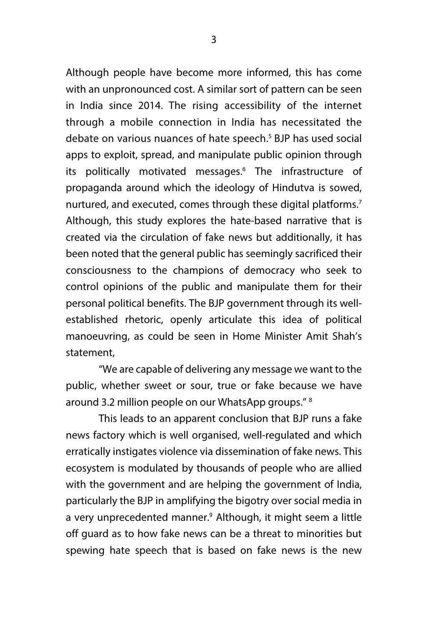Although people have become more informed, this has come with an unpronounced cost. A similar sort of pattern can be seen in India since 2014. The rising accessibility of the internet through a mobile connection in India has necessitated the debate on various nuances of hate speech.<sup>5</sup> BJP has used social apps to exploit, spread, and manipulate public opinion through its politically motivated messages.<sup>6</sup> The infrastructure of propaganda around which the ideology of Hindutva is sowed, nurtured, and executed, comes through these digital platforms.<sup>7</sup> Although, this study explores the hate-based narrative that is created via the circulation of fake news but additionally, it has been noted that the general public has seemingly sacrificed their consciousness to the champions of democracy who seek to control opinions of the public and manipulate them for their personal political benefits. The BJP government through its wellestablished rhetoric, openly articulate this idea of political manoeuvring, as could be seen in Home Minister Amit Shah's statement,

"We are capable of delivering any message we want to the public, whether sweet or sour, true or fake because we have around 3.2 million people on our WhatsApp groups." 8

This leads to an apparent conclusion that BJP runs a fake news factory which is well organised, well-regulated and which erratically instigates violence via dissemination of fake news. This ecosystem is modulated by thousands of people who are allied with the government and are helping the government of India, particularly the BJP in amplifying the bigotry over social media in a very unprecedented manner.<sup>9</sup> Although, it might seem a little off guard as to how fake news can be a threat to minorities but spewing hate speech that is based on fake news is the new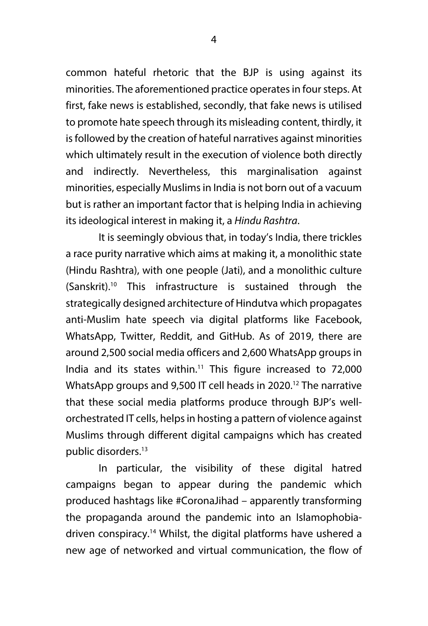common hateful rhetoric that the BJP is using against its minorities. The aforementioned practice operates in four steps. At first, fake news is established, secondly, that fake news is utilised to promote hate speech through its misleading content, thirdly, it is followed by the creation of hateful narratives against minorities which ultimately result in the execution of violence both directly and indirectly. Nevertheless, this marginalisation against minorities, especially Muslims in India is not born out of a vacuum but is rather an important factor that is helping India in achieving its ideological interest in making it, a *Hindu Rashtra*.

It is seemingly obvious that, in today's India, there trickles a race purity narrative which aims at making it, a monolithic state (Hindu Rashtra), with one people (Jati), and a monolithic culture (Sanskrit).10 This infrastructure is sustained through the strategically designed architecture of Hindutva which propagates anti-Muslim hate speech via digital platforms like Facebook, WhatsApp, Twitter, Reddit, and GitHub. As of 2019, there are around 2,500 social media officers and 2,600 WhatsApp groups in India and its states within.<sup>11</sup> This figure increased to  $72,000$ WhatsApp groups and 9,500 IT cell heads in 2020.<sup>12</sup> The narrative that these social media platforms produce through BJP's wellorchestrated IT cells, helps in hosting a pattern of violence against Muslims through different digital campaigns which has created public disorders.13

In particular, the visibility of these digital hatred campaigns began to appear during the pandemic which produced hashtags like #CoronaJihad – apparently transforming the propaganda around the pandemic into an Islamophobiadriven conspiracy.14 Whilst, the digital platforms have ushered a new age of networked and virtual communication, the flow of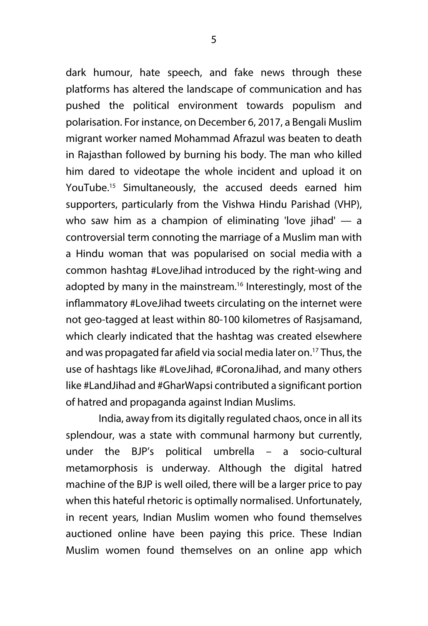dark humour, hate speech, and fake news through these platforms has altered the landscape of communication and has pushed the political environment towards populism and polarisation. For instance, on December 6, 2017, a Bengali Muslim migrant worker named Mohammad Afrazul was beaten to death in Rajasthan followed by burning his body. The man who killed him dared to videotape the whole incident and upload it on YouTube.15 Simultaneously, the accused deeds earned him supporters, particularly from the Vishwa Hindu Parishad (VHP), who saw him as a champion of eliminating 'love jihad'  $-$  a controversial term connoting the marriage of a Muslim man with a Hindu woman that was popularised on social media with a common hashtag #LoveJihad introduced by the right-wing and adopted by many in the mainstream.<sup>16</sup> Interestingly, most of the inflammatory #LoveJihad tweets circulating on the internet were not geo-tagged at least within 80-100 kilometres of Rasjsamand, which clearly indicated that the hashtag was created elsewhere and was propagated far afield via social media later on.17 Thus, the use of hashtags like #LoveJihad, #CoronaJihad, and many others like #LandJihad and #GharWapsi contributed a significant portion of hatred and propaganda against Indian Muslims.

India, away from its digitally regulated chaos, once in all its splendour, was a state with communal harmony but currently, under the BJP's political umbrella – a socio-cultural metamorphosis is underway. Although the digital hatred machine of the BJP is well oiled, there will be a larger price to pay when this hateful rhetoric is optimally normalised. Unfortunately, in recent years, Indian Muslim women who found themselves auctioned online have been paying this price. These Indian Muslim women found themselves on an online app which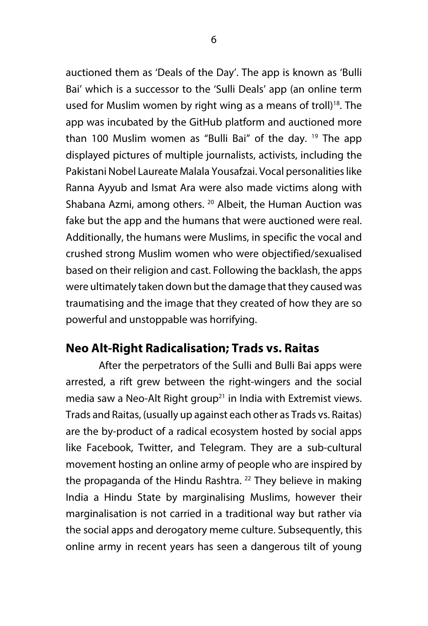auctioned them as 'Deals of the Day'. The app is known as 'Bulli Bai' which is a successor to the 'Sulli Deals' app (an online term used for Muslim women by right wing as a means of troll)<sup>18</sup>. The app was incubated by the GitHub platform and auctioned more than 100 Muslim women as "Bulli Bai" of the day.  $19$  The app displayed pictures of multiple journalists, activists, including the Pakistani Nobel Laureate Malala Yousafzai. Vocal personalities like Ranna Ayyub and Ismat Ara were also made victims along with Shabana Azmi, among others. <sup>20</sup> Albeit, the Human Auction was fake but the app and the humans that were auctioned were real. Additionally, the humans were Muslims, in specific the vocal and crushed strong Muslim women who were objectified/sexualised based on their religion and cast. Following the backlash, the apps were ultimately taken down but the damage that they caused was traumatising and the image that they created of how they are so powerful and unstoppable was horrifying.

## **Neo Alt-Right Radicalisation; Trads vs. Raitas**

After the perpetrators of the Sulli and Bulli Bai apps were arrested, a rift grew between the right-wingers and the social media saw a Neo-Alt Right group<sup>21</sup> in India with Extremist views. Trads and Raitas, (usually up against each other as Trads vs. Raitas) are the by-product of a radical ecosystem hosted by social apps like Facebook, Twitter, and Telegram. They are a sub-cultural movement hosting an online army of people who are inspired by the propaganda of the Hindu Rashtra.  $^{22}$  They believe in making India a Hindu State by marginalising Muslims, however their marginalisation is not carried in a traditional way but rather via the social apps and derogatory meme culture. Subsequently, this online army in recent years has seen a dangerous tilt of young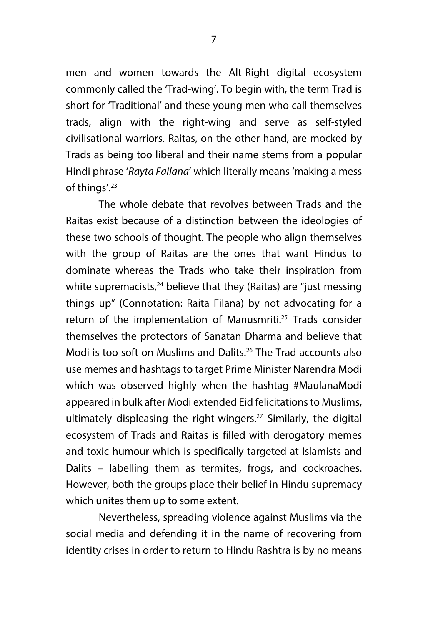men and women towards the Alt-Right digital ecosystem commonly called the 'Trad-wing'. To begin with, the term Trad is short for 'Traditional' and these young men who call themselves trads, align with the right-wing and serve as self-styled civilisational warriors. Raitas, on the other hand, are mocked by Trads as being too liberal and their name stems from a popular Hindi phrase '*Rayta Failana*' which literally means 'making a mess of things'.23

The whole debate that revolves between Trads and the Raitas exist because of a distinction between the ideologies of these two schools of thought. The people who align themselves with the group of Raitas are the ones that want Hindus to dominate whereas the Trads who take their inspiration from white supremacists,<sup>24</sup> believe that they (Raitas) are "just messing things up" (Connotation: Raita Filana) by not advocating for a return of the implementation of Manusmriti.<sup>25</sup> Trads consider themselves the protectors of Sanatan Dharma and believe that Modi is too soft on Muslims and Dalits.26 The Trad accounts also use memes and hashtags to target Prime Minister Narendra Modi which was observed highly when the hashtag #MaulanaModi appeared in bulk after Modi extended Eid felicitations to Muslims, ultimately displeasing the right-wingers.<sup>27</sup> Similarly, the digital ecosystem of Trads and Raitas is filled with derogatory memes and toxic humour which is specifically targeted at Islamists and Dalits – labelling them as termites, frogs, and cockroaches. However, both the groups place their belief in Hindu supremacy which unites them up to some extent.

Nevertheless, spreading violence against Muslims via the social media and defending it in the name of recovering from identity crises in order to return to Hindu Rashtra is by no means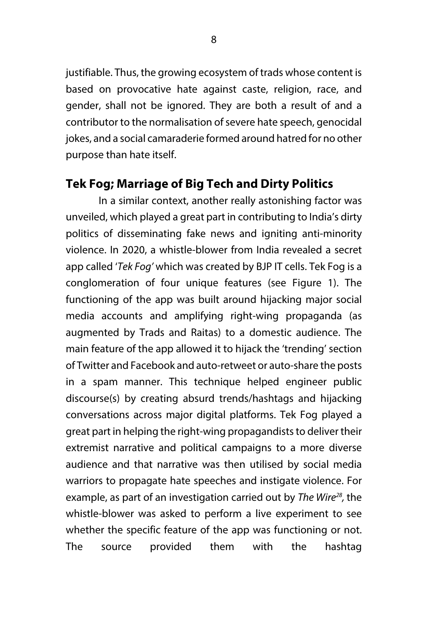justifiable. Thus, the growing ecosystem of trads whose content is based on provocative hate against caste, religion, race, and gender, shall not be ignored. They are both a result of and a contributor to the normalisation of severe hate speech, genocidal jokes, and a social camaraderie formed around hatred for no other purpose than hate itself.

# **Tek Fog; Marriage of Big Tech and Dirty Politics**

In a similar context, another really astonishing factor was unveiled, which played a great part in contributing to India's dirty politics of disseminating fake news and igniting anti-minority violence. In 2020, a whistle-blower from India revealed a secret app called '*Tek Fog'* which was created by BJP IT cells. Tek Fog is a conglomeration of four unique features (see Figure 1). The functioning of the app was built around hijacking major social media accounts and amplifying right-wing propaganda (as augmented by Trads and Raitas) to a domestic audience. The main feature of the app allowed it to hijack the 'trending' section of Twitter and Facebook and auto-retweet or auto-share the posts in a spam manner. This technique helped engineer public discourse(s) by creating absurd trends/hashtags and hijacking conversations across major digital platforms. Tek Fog played a great part in helping the right-wing propagandists to deliver their extremist narrative and political campaigns to a more diverse audience and that narrative was then utilised by social media warriors to propagate hate speeches and instigate violence. For example, as part of an investigation carried out by *The Wire28,* the whistle-blower was asked to perform a live experiment to see whether the specific feature of the app was functioning or not. The source provided them with the hashtag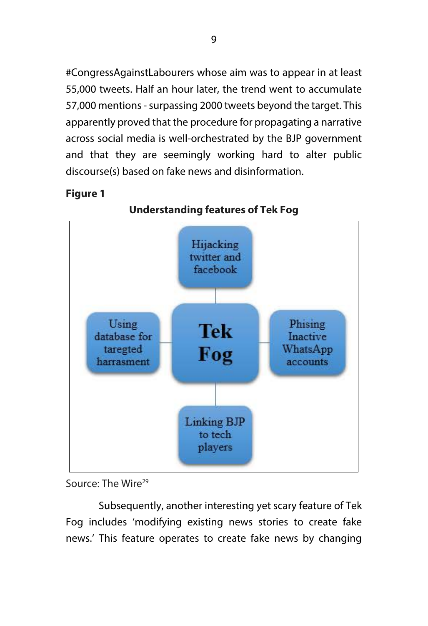#CongressAgainstLabourers whose aim was to appear in at least 55,000 tweets. Half an hour later, the trend went to accumulate 57,000 mentions - surpassing 2000 tweets beyond the target. This apparently proved that the procedure for propagating a narrative across social media is well-orchestrated by the BJP government and that they are seemingly working hard to alter public discourse(s) based on fake news and disinformation.

#### **Figure 1**

**Understanding features of Tek Fog Hijacking** twitter and facebook Using Phising **Tek** database for Inactive taregted WhatsApp Fog harrasment accounts **Linking BJP** to tech players

# Source: The Wire<sup>29</sup>

Subsequently, another interesting yet scary feature of Tek Fog includes 'modifying existing news stories to create fake news.' This feature operates to create fake news by changing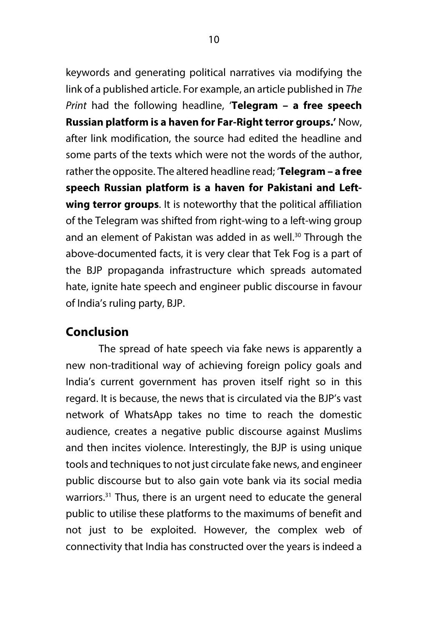keywords and generating political narratives via modifying the link of a published article. For example, an article published in *The Print* had the following headline, '**Telegram – a free speech Russian platform is a haven for Far-Right terror groups.'** Now, after link modification, the source had edited the headline and some parts of the texts which were not the words of the author, rather the opposite. The altered headline read; '**Telegram – a free speech Russian platform is a haven for Pakistani and Leftwing terror groups**. It is noteworthy that the political affiliation of the Telegram was shifted from right-wing to a left-wing group and an element of Pakistan was added in as well.<sup>30</sup> Through the above-documented facts, it is very clear that Tek Fog is a part of the BJP propaganda infrastructure which spreads automated hate, ignite hate speech and engineer public discourse in favour of India's ruling party, BJP.

# **Conclusion**

The spread of hate speech via fake news is apparently a new non-traditional way of achieving foreign policy goals and India's current government has proven itself right so in this regard. It is because, the news that is circulated via the BJP's vast network of WhatsApp takes no time to reach the domestic audience, creates a negative public discourse against Muslims and then incites violence. Interestingly, the BJP is using unique tools and techniques to not just circulate fake news, and engineer public discourse but to also gain vote bank via its social media warriors.<sup>31</sup> Thus, there is an urgent need to educate the general public to utilise these platforms to the maximums of benefit and not just to be exploited. However, the complex web of connectivity that India has constructed over the years is indeed a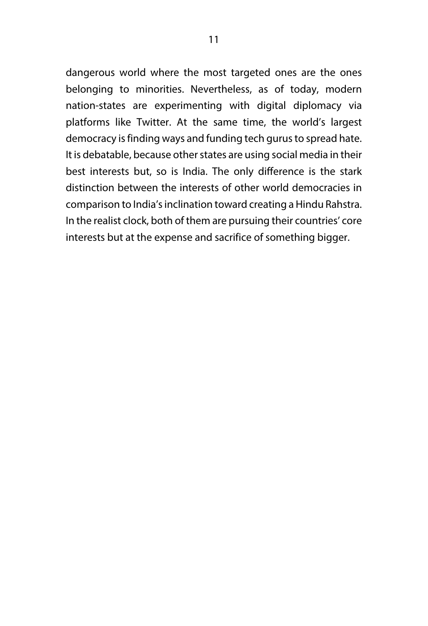dangerous world where the most targeted ones are the ones belonging to minorities. Nevertheless, as of today, modern nation-states are experimenting with digital diplomacy via platforms like Twitter. At the same time, the world's largest democracy is finding ways and funding tech gurus to spread hate. It is debatable, because other states are using social media in their best interests but, so is India. The only difference is the stark distinction between the interests of other world democracies in comparison to India's inclination toward creating a Hindu Rahstra. In the realist clock, both of them are pursuing their countries' core interests but at the expense and sacrifice of something bigger.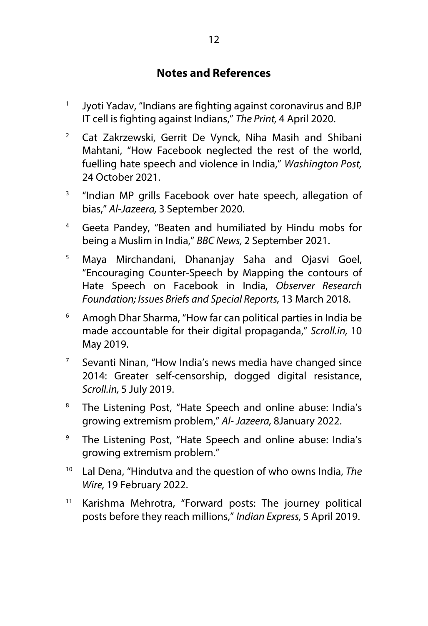### **Notes and References**

- <sup>1</sup> Jyoti Yadav, "Indians are fighting against coronavirus and BJP IT cell is fighting against Indians," *The Print,* 4 April 2020.
- <sup>2</sup> Cat Zakrzewski, Gerrit De Vynck, Niha Masih and Shibani Mahtani, "How Facebook neglected the rest of the world, fuelling hate speech and violence in India," *Washington Post,*  24 October 2021.
- <sup>3</sup> "Indian MP grills Facebook over hate speech, allegation of bias," *Al-Jazeera,* 3 September 2020.
- <sup>4</sup> Geeta Pandey, "Beaten and humiliated by Hindu mobs for being a Muslim in India," *BBC News,* 2 September 2021.
- <sup>5</sup> Maya Mirchandani, Dhananjay Saha and Ojasvi Goel, "Encouraging Counter-Speech by Mapping the contours of Hate Speech on Facebook in India, *Observer Research Foundation; Issues Briefs and Special Reports,* 13 March 2018.
- <sup>6</sup> Amogh Dhar Sharma, "How far can political parties in India be made accountable for their digital propaganda," *Scroll.in,* 10 May 2019.
- <sup>7</sup> Sevanti Ninan, "How India's news media have changed since 2014: Greater self-censorship, dogged digital resistance, *Scroll.in,* 5 July 2019.
- <sup>8</sup> The Listening Post, "Hate Speech and online abuse: India's growing extremism problem," *Al- Jazeera,* 8January 2022.
- <sup>9</sup> The Listening Post, "Hate Speech and online abuse: India's growing extremism problem."
- <sup>10</sup> Lal Dena, "Hindutva and the question of who owns India, *The Wire,* 19 February 2022.
- <sup>11</sup> Karishma Mehrotra, "Forward posts: The journey political posts before they reach millions," *Indian Express,* 5 April 2019.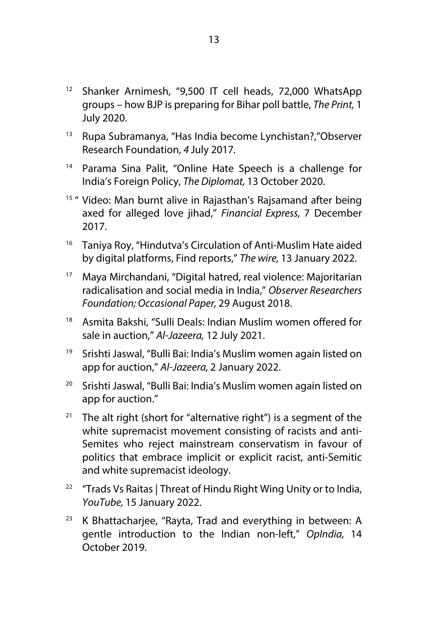- <sup>12</sup> Shanker Arnimesh, "9,500 IT cell heads, 72,000 WhatsApp groups – how BJP is preparing for Bihar poll battle, *The Print,* 1 July 2020.
- <sup>13</sup> Rupa Subramanya, "Has India become Lynchistan?,"Observer Research Foundation, *4* July 2017*.*
- <sup>14</sup> Parama Sina Palit, "Online Hate Speech is a challenge for India's Foreign Policy, *The Diplomat,* 13 October 2020.
- <sup>15</sup> " Video: Man burnt alive in Rajasthan's Rajsamand after being axed for alleged love jihad," *Financial Express,* 7 December 2017.
- <sup>16</sup> Taniya Roy, "Hindutva's Circulation of Anti-Muslim Hate aided by digital platforms, Find reports," *The wire,* 13 January 2022.
- <sup>17</sup> Maya Mirchandani, "Digital hatred, real violence: Majoritarian radicalisation and social media in India," *Observer Researchers Foundation; Occasional Paper,* 29 August 2018.
- <sup>18</sup> Asmita Bakshi, "Sulli Deals: Indian Muslim women offered for sale in auction," *Al-Jazeera,* 12 July 2021.
- <sup>19</sup> Srishti Jaswal, "Bulli Bai: India's Muslim women again listed on app for auction," *Al-Jazeera,* 2 January 2022.
- <sup>20</sup> Srishti Jaswal, "Bulli Bai: India's Muslim women again listed on app for auction."
- <sup>21</sup> The alt right (short for "alternative right") is a segment of the white supremacist movement consisting of racists and anti-Semites who reject mainstream conservatism in favour of politics that embrace implicit or explicit racist, anti-Semitic and white supremacist ideology.
- <sup>22</sup> "Trads Vs Raitas | Threat of Hindu Right Wing Unity or to India, *YouTube,* 15 January 2022.
- $23$  K Bhattacharjee, "Rayta, Trad and everything in between: A gentle introduction to the Indian non-left," *OpIndia,* 14 October 2019.